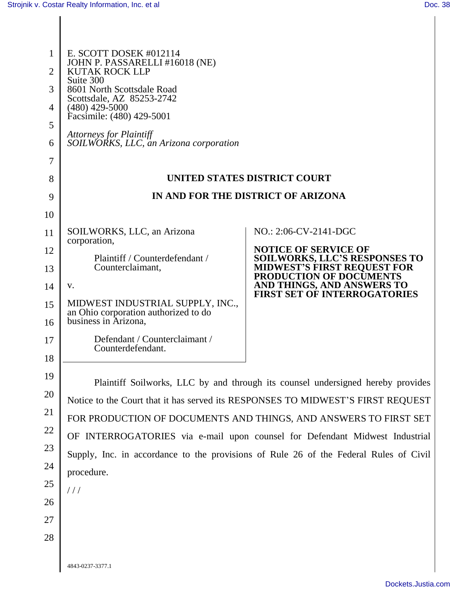| 1<br>$\overline{2}$ | E. SCOTT DOSEK #012114<br>JOHN P. PASSARELLI #16018 (NE)<br><b>KUTAK ROCK LLP</b>     |                                                                                                                                                                    |  |
|---------------------|---------------------------------------------------------------------------------------|--------------------------------------------------------------------------------------------------------------------------------------------------------------------|--|
| 3                   | Suite 300<br>8601 North Scottsdale Road                                               |                                                                                                                                                                    |  |
| 4                   | Scottsdale, AZ 85253-2742<br>$(480)$ 429-5000                                         |                                                                                                                                                                    |  |
| 5                   | Facsimile: (480) 429-5001                                                             |                                                                                                                                                                    |  |
| 6                   | <b>Attorneys for Plaintiff</b><br>SOILWORKS, LLC, an Arizona corporation              |                                                                                                                                                                    |  |
| 7                   |                                                                                       |                                                                                                                                                                    |  |
| 8                   | UNITED STATES DISTRICT COURT                                                          |                                                                                                                                                                    |  |
| 9                   | IN AND FOR THE DISTRICT OF ARIZONA                                                    |                                                                                                                                                                    |  |
| 10                  |                                                                                       |                                                                                                                                                                    |  |
| 11                  | SOILWORKS, LLC, an Arizona<br>corporation,                                            | NO.: 2:06-CV-2141-DGC                                                                                                                                              |  |
| 12                  | Plaintiff / Counterdefendant /                                                        | <b>NOTICE OF SERVICE OF</b>                                                                                                                                        |  |
| 13                  | Counterclaimant,                                                                      | <b>SOILWORKS, LLC'S RESPONSES TO</b><br><b>MIDWEST'S FIRST REQUEST FOR</b><br>PRODUCTION OF DOCUMENTS                                                              |  |
| 14                  | V.                                                                                    | AND THINGS, AND ANSWERS TO<br>FIRST SET OF INTERROGATORIES                                                                                                         |  |
| 15                  | MIDWEST INDUSTRIAL SUPPLY, INC.,<br>an Ohio corporation authorized to do              |                                                                                                                                                                    |  |
| 16                  | business in Arizona,                                                                  |                                                                                                                                                                    |  |
| 17                  | Defendant / Counterclaimant /<br>Counterdefendant.                                    |                                                                                                                                                                    |  |
| 18                  |                                                                                       |                                                                                                                                                                    |  |
| 19                  |                                                                                       |                                                                                                                                                                    |  |
| 20                  |                                                                                       | Plaintiff Soilworks, LLC by and through its counsel undersigned hereby provides<br>Notice to the Court that it has served its RESPONSES TO MIDWEST'S FIRST REQUEST |  |
| 21                  | FOR PRODUCTION OF DOCUMENTS AND THINGS, AND ANSWERS TO FIRST SET                      |                                                                                                                                                                    |  |
| 22                  | OF INTERROGATORIES via e-mail upon counsel for Defendant Midwest Industrial           |                                                                                                                                                                    |  |
| 23                  | Supply, Inc. in accordance to the provisions of Rule 26 of the Federal Rules of Civil |                                                                                                                                                                    |  |
| 24                  | procedure.                                                                            |                                                                                                                                                                    |  |
| 25                  | //                                                                                    |                                                                                                                                                                    |  |
| 26                  |                                                                                       |                                                                                                                                                                    |  |
| 27                  |                                                                                       |                                                                                                                                                                    |  |
| 28                  |                                                                                       |                                                                                                                                                                    |  |
|                     |                                                                                       |                                                                                                                                                                    |  |
|                     | 4843-0237-3377.1                                                                      |                                                                                                                                                                    |  |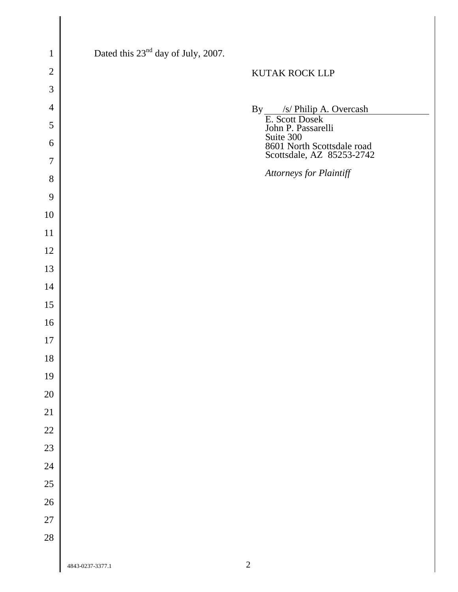| $\mathbf{1}$   | Dated this 23 <sup>nd</sup> day of July, 2007. |                                                                  |
|----------------|------------------------------------------------|------------------------------------------------------------------|
| $\mathbf{2}$   |                                                | KUTAK ROCK LLP                                                   |
| 3              |                                                |                                                                  |
| $\overline{4}$ |                                                |                                                                  |
| $\mathfrak{S}$ |                                                | By $\frac{\sqrt{s}}{\text{E. Scott Does}}$<br>John P. Passarelli |
| 6              |                                                | Suite 300                                                        |
| $\overline{7}$ |                                                | 8601 North Scottsdale road<br>Scottsdale, AZ 85253-2742          |
| $8\,$          |                                                | Attorneys for Plaintiff                                          |
| 9              |                                                |                                                                  |
| 10             |                                                |                                                                  |
| 11             |                                                |                                                                  |
| 12             |                                                |                                                                  |
| 13             |                                                |                                                                  |
| 14             |                                                |                                                                  |
| 15             |                                                |                                                                  |
| 16             |                                                |                                                                  |
| 17             |                                                |                                                                  |
| 18             |                                                |                                                                  |
| 19             |                                                |                                                                  |
| $20\,$         |                                                |                                                                  |
| $21\,$         |                                                |                                                                  |
| $22\,$         |                                                |                                                                  |
| $23\,$         |                                                |                                                                  |
| $24\,$         |                                                |                                                                  |
| $25\,$         |                                                |                                                                  |
| $26\,$         |                                                |                                                                  |
| $27\,$         |                                                |                                                                  |
| $28\,$         |                                                |                                                                  |
|                | 4843-0237-3377.1                               | $\sqrt{2}$                                                       |

 $\overline{\phantom{a}}$